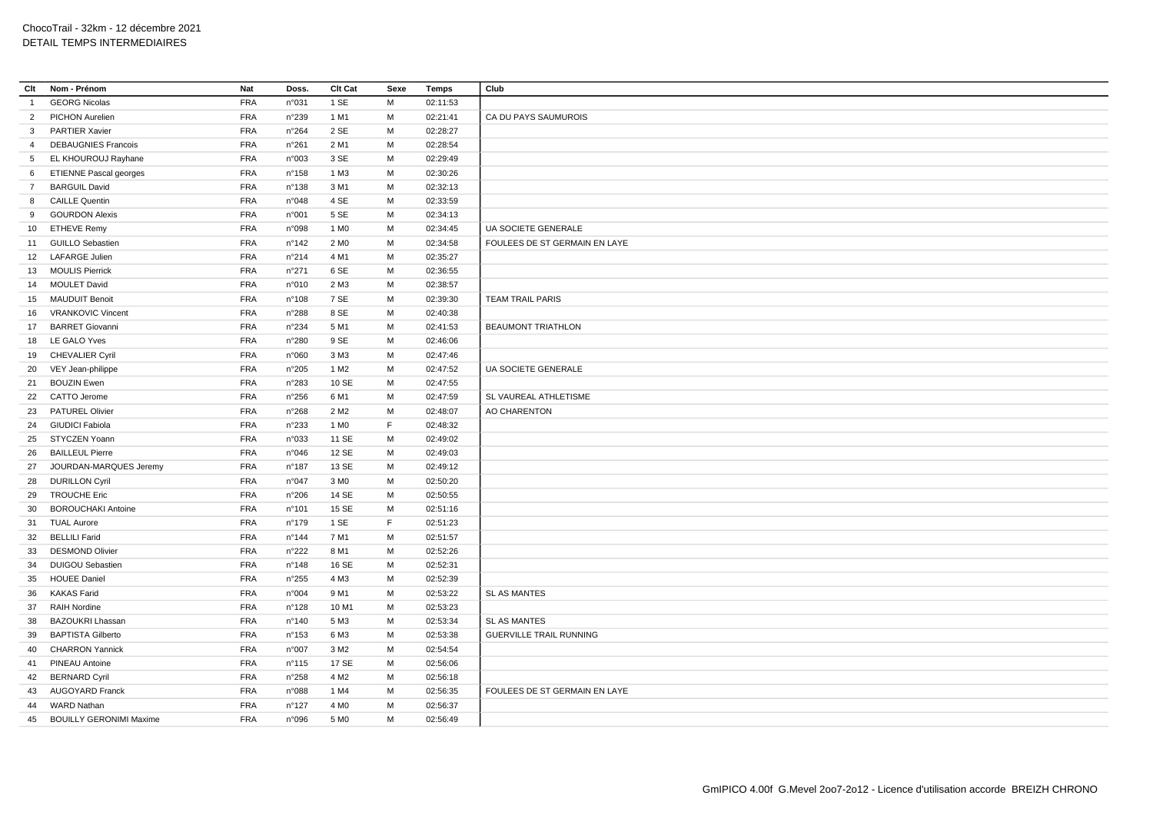| Clt            | Nom - Prénom                   | Nat        | Doss.           | Clt Cat          | Sexe | <b>Temps</b> | Club                           |
|----------------|--------------------------------|------------|-----------------|------------------|------|--------------|--------------------------------|
| $\overline{1}$ | <b>GEORG Nicolas</b>           | <b>FRA</b> | n°031           | 1 SE             | M    | 02:11:53     |                                |
| $\overline{2}$ | PICHON Aurelien                | <b>FRA</b> | n°239           | 1 M1             | M    | 02:21:41     | CA DU PAYS SAUMUROIS           |
| $\mathbf{3}$   | PARTIER Xavier                 | <b>FRA</b> | n°264           | 2 SE             | M    | 02:28:27     |                                |
| $\overline{4}$ | <b>DEBAUGNIES Francois</b>     | <b>FRA</b> | n°261           | 2 M1             | M    | 02:28:54     |                                |
| $5^{\circ}$    | EL KHOUROUJ Rayhane            | <b>FRA</b> | n°003           | 3 SE             | M    | 02:29:49     |                                |
| 6              | <b>ETIENNE Pascal georges</b>  | <b>FRA</b> | $n^{\circ}$ 158 | 1 M3             | M    | 02:30:26     |                                |
| 7              | <b>BARGUIL David</b>           | <b>FRA</b> | n°138           | 3 M1             | M    | 02:32:13     |                                |
| 8              | <b>CAILLE Quentin</b>          | <b>FRA</b> | n°048           | 4 SE             | M    | 02:33:59     |                                |
| 9              | <b>GOURDON Alexis</b>          | <b>FRA</b> | n°001           | 5 SE             | M    | 02:34:13     |                                |
|                | 10 ETHEVE Remy                 | <b>FRA</b> | n°098           | 1 M <sub>0</sub> | M    | 02:34:45     | UA SOCIETE GENERALE            |
|                | 11 GUILLO Sebastien            | <b>FRA</b> | n°142           | 2 M <sub>0</sub> | M    | 02:34:58     | FOULEES DE ST GERMAIN EN LAYE  |
| 12             | <b>LAFARGE Julien</b>          | <b>FRA</b> | n°214           | 4 M1             | M    | 02:35:27     |                                |
| 13             | <b>MOULIS Pierrick</b>         | <b>FRA</b> | $n^{\circ}271$  | 6 SE             | M    | 02:36:55     |                                |
| 14             | <b>MOULET David</b>            | <b>FRA</b> | n°010           | 2 M3             | M    | 02:38:57     |                                |
|                | 15 MAUDUIT Benoit              | <b>FRA</b> | n°108           | 7 SE             | M    | 02:39:30     | <b>TEAM TRAIL PARIS</b>        |
| 16             | <b>VRANKOVIC Vincent</b>       | <b>FRA</b> | n°288           | 8 SE             | M    | 02:40:38     |                                |
| 17             | <b>BARRET Giovanni</b>         | <b>FRA</b> | n°234           | 5 M1             | M    | 02:41:53     | <b>BEAUMONT TRIATHLON</b>      |
|                | 18 LE GALO Yves                | <b>FRA</b> | n°280           | 9 SE             | M    | 02:46:06     |                                |
|                | 19 CHEVALIER Cyril             | <b>FRA</b> | n°060           | 3 M3             | M    | 02:47:46     |                                |
|                | 20 VEY Jean-philippe           | <b>FRA</b> | n°205           | 1 M <sub>2</sub> | M    | 02:47:52     | <b>UA SOCIETE GENERALE</b>     |
| 21             | <b>BOUZIN Ewen</b>             | <b>FRA</b> | n°283           | 10 SE            | M    | 02:47:55     |                                |
| 22             | CATTO Jerome                   | <b>FRA</b> | n°256           | 6 M1             | M    | 02:47:59     | SL VAUREAL ATHLETISME          |
| 23             | <b>PATUREL Olivier</b>         | <b>FRA</b> | n°268           | 2 M <sub>2</sub> | M    | 02:48:07     | AO CHARENTON                   |
| 24             | <b>GIUDICI Fabiola</b>         | <b>FRA</b> | n°233           | 1 M <sub>0</sub> | F    | 02:48:32     |                                |
| 25             | STYCZEN Yoann                  | <b>FRA</b> | n°033           | 11 SE            | M    | 02:49:02     |                                |
| 26             | <b>BAILLEUL Pierre</b>         | <b>FRA</b> | n°046           | 12 SE            | M    | 02:49:03     |                                |
| 27             | JOURDAN-MARQUES Jeremy         | <b>FRA</b> | $n^{\circ}187$  | 13 SE            | M    | 02:49:12     |                                |
| 28             | <b>DURILLON Cyril</b>          | <b>FRA</b> | n°047           | 3 M <sub>0</sub> | M    | 02:50:20     |                                |
| 29             | <b>TROUCHE Eric</b>            | <b>FRA</b> | n°206           | 14 SE            | M    | 02:50:55     |                                |
| 30             | <b>BOROUCHAKI Antoine</b>      | <b>FRA</b> | n°101           | <b>15 SE</b>     | M    | 02:51:16     |                                |
| 31             | <b>TUAL Aurore</b>             | <b>FRA</b> | $n^{\circ}$ 179 | 1 SE             | F    | 02:51:23     |                                |
| 32             | <b>BELLILI Farid</b>           | <b>FRA</b> | n°144           | 7 M1             | M    | 02:51:57     |                                |
| 33             | <b>DESMOND Olivier</b>         | <b>FRA</b> | n°222           | 8 M1             | M    | 02:52:26     |                                |
| 34             | <b>DUIGOU Sebastien</b>        | <b>FRA</b> | n°148           | 16 SE            | M    | 02:52:31     |                                |
| 35             | <b>HOUEE Daniel</b>            | <b>FRA</b> | n°255           | 4 M3             | M    | 02:52:39     |                                |
| 36             | <b>KAKAS Farid</b>             | <b>FRA</b> | n°004           | 9 M1             | M    | 02:53:22     | <b>SL AS MANTES</b>            |
| 37             | <b>RAIH Nordine</b>            | <b>FRA</b> | n°128           | 10 M1            | M    | 02:53:23     |                                |
| 38             | <b>BAZOUKRI Lhassan</b>        | <b>FRA</b> | n°140           | 5 M3             | M    | 02:53:34     | <b>SL AS MANTES</b>            |
| 39             | <b>BAPTISTA Gilberto</b>       | <b>FRA</b> | $n^{\circ}153$  | 6 M3             | M    | 02:53:38     | <b>GUERVILLE TRAIL RUNNING</b> |
| 40             | <b>CHARRON Yannick</b>         | <b>FRA</b> | n°007           | 3 M <sub>2</sub> | M    | 02:54:54     |                                |
| 41             | PINEAU Antoine                 | <b>FRA</b> | $n^{\circ}115$  | 17 SE            | M    | 02:56:06     |                                |
| 42             | <b>BERNARD Cyril</b>           | <b>FRA</b> | n°258           | 4 M <sub>2</sub> | M    | 02:56:18     |                                |
| 43             | <b>AUGOYARD Franck</b>         | <b>FRA</b> | n°088           | 1 M4             | M    | 02:56:35     | FOULEES DE ST GERMAIN EN LAYE  |
| 44             | <b>WARD Nathan</b>             | <b>FRA</b> | $n^{\circ}$ 127 | 4 M <sub>0</sub> | M    | 02:56:37     |                                |
| 45             | <b>BOUILLY GERONIMI Maxime</b> | <b>FRA</b> | n°096           | 5 M <sub>0</sub> | M    | 02:56:49     |                                |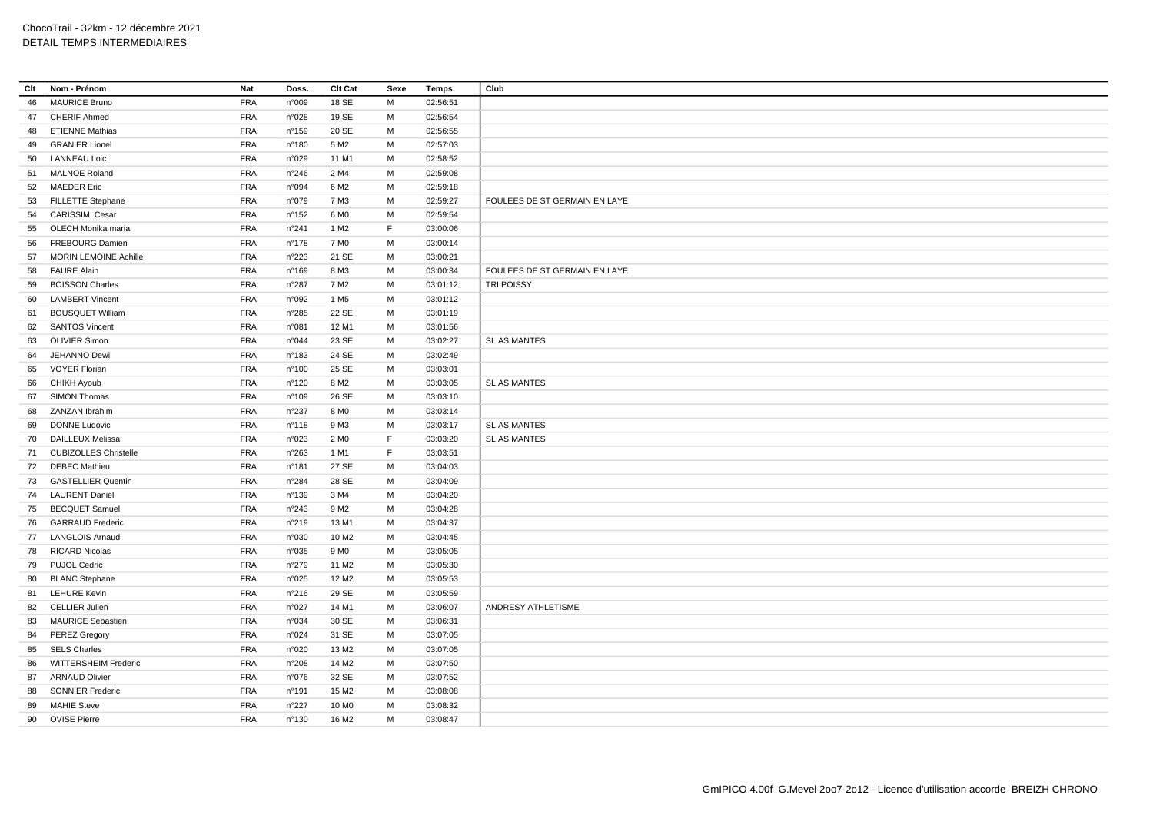| Clt | Nom - Prénom                                   | <b>Nat</b> | Doss.           | Clt Cat           | Sexe | Temps    | Club                          |
|-----|------------------------------------------------|------------|-----------------|-------------------|------|----------|-------------------------------|
| 46  | <b>MAURICE Bruno</b>                           | FRA        | n°009           | 18 SE             | M    | 02:56:51 |                               |
| 47  | <b>CHERIF Ahmed</b>                            | <b>FRA</b> | n°028           | 19 SE             | M    | 02:56:54 |                               |
| 48  | <b>ETIENNE Mathias</b>                         | <b>FRA</b> | n°159           | 20 SE             | М    | 02:56:55 |                               |
| 49  | <b>GRANIER Lionel</b>                          | FRA        | n°180           | 5 M <sub>2</sub>  | M    | 02:57:03 |                               |
| 50  | <b>LANNEAU Loic</b>                            | <b>FRA</b> | n°029           | 11 M1             | M    | 02:58:52 |                               |
| 51  | <b>MALNOE Roland</b>                           | <b>FRA</b> | n°246           | 2 M4              | M    | 02:59:08 |                               |
|     | 52 MAEDER Eric                                 | <b>FRA</b> | n°094           | 6 M <sub>2</sub>  | M    | 02:59:18 |                               |
|     | 53 FILLETTE Stephane                           | <b>FRA</b> | n°079           | 7 M3              | M    | 02:59:27 | FOULEES DE ST GERMAIN EN LAYE |
| 54  | <b>CARISSIMI Cesar</b>                         | <b>FRA</b> | $n^{\circ}$ 152 | 6 M <sub>0</sub>  | М    | 02:59:54 |                               |
| 55  | OLECH Monika maria                             | <b>FRA</b> | n°241           | 1 M <sub>2</sub>  | F    | 03:00:06 |                               |
| 56  | <b>FREBOURG Damien</b>                         | <b>FRA</b> | $n^{\circ}$ 178 | 7 M <sub>0</sub>  | M    | 03:00:14 |                               |
| 57  | <b>MORIN LEMOINE Achille</b>                   | <b>FRA</b> | n°223           | 21 SE             | M    | 03:00:21 |                               |
| 58  | <b>FAURE Alain</b>                             | <b>FRA</b> | n°169           | 8 M3              | M    | 03:00:34 | FOULEES DE ST GERMAIN EN LAYE |
| 59  | <b>BOISSON Charles</b>                         | <b>FRA</b> | n°287           | 7 M <sub>2</sub>  | M    | 03:01:12 | TRI POISSY                    |
| 60  | <b>LAMBERT Vincent</b>                         | <b>FRA</b> | n°092           | 1 M <sub>5</sub>  | M    | 03:01:12 |                               |
| 61  | <b>BOUSQUET William</b>                        | <b>FRA</b> | n°285           | 22 SE             | M    | 03:01:19 |                               |
| 62  | <b>SANTOS Vincent</b>                          | FRA        | n°081           | 12 M1             | M    | 03:01:56 |                               |
| 63  | <b>OLIVIER Simon</b>                           | <b>FRA</b> | n°044           | 23 SE             | M    | 03:02:27 | SL AS MANTES                  |
| 64  | JEHANNO Dewi                                   | <b>FRA</b> | n°183           | 24 SE             | M    | 03:02:49 |                               |
| 65  | <b>VOYER Florian</b>                           | <b>FRA</b> | n°100           | 25 SE             | M    | 03:03:01 |                               |
| 66  | CHIKH Ayoub                                    | <b>FRA</b> | n°120           | 8 M <sub>2</sub>  | M    | 03:03:05 | SL AS MANTES                  |
| 67  | SIMON Thomas                                   | <b>FRA</b> | n°109           | 26 SE             | M    | 03:03:10 |                               |
| 68  | <b>ZANZAN Ibrahim</b>                          | <b>FRA</b> | n°237           | 8 M <sub>0</sub>  | M    | 03:03:14 |                               |
| 69  | <b>DONNE Ludovic</b>                           | <b>FRA</b> | n°118           | 9 M3              | M    | 03:03:17 | SL AS MANTES                  |
| 70  | <b>DAILLEUX Melissa</b>                        | <b>FRA</b> | n°023           | 2 M <sub>0</sub>  | F    | 03:03:20 | <b>SL AS MANTES</b>           |
| 71  | <b>CUBIZOLLES Christelle</b>                   | <b>FRA</b> | n°263           | 1 M1              | F    | 03:03:51 |                               |
| 72  | <b>DEBEC Mathieu</b>                           | <b>FRA</b> | n°181           | 27 SE             | M    | 03:04:03 |                               |
|     |                                                |            |                 |                   | M    |          |                               |
| 73  | <b>GASTELLIER Quentin</b><br>74 LAURENT Daniel | <b>FRA</b> | n°284           | 28 SE<br>3 M4     | M    | 03:04:09 |                               |
|     |                                                | <b>FRA</b> | n°139           |                   |      | 03:04:20 |                               |
| 75  | <b>BECQUET Samuel</b>                          | <b>FRA</b> | n°243           | 9 M <sub>2</sub>  | M    | 03:04:28 |                               |
| 76  | <b>GARRAUD Frederic</b>                        | <b>FRA</b> | n°219           | 13 M1             | M    | 03:04:37 |                               |
|     | 77 LANGLOIS Arnaud                             | <b>FRA</b> | n°030           | 10 M <sub>2</sub> | M    | 03:04:45 |                               |
| 78  | <b>RICARD Nicolas</b>                          | <b>FRA</b> | n°035           | 9 M <sub>0</sub>  | M    | 03:05:05 |                               |
|     | 79 PUJOL Cedric                                | <b>FRA</b> | n°279           | 11 M <sub>2</sub> | М    | 03:05:30 |                               |
| 80  | <b>BLANC Stephane</b>                          | FRA        | n°025           | 12 M <sub>2</sub> | M    | 03:05:53 |                               |
| 81  | <b>LEHURE Kevin</b>                            | <b>FRA</b> | n°216           | 29 SE             | M    | 03:05:59 |                               |
| 82  | <b>CELLIER Julien</b>                          | <b>FRA</b> | n°027           | 14 M1             | M    | 03:06:07 | ANDRESY ATHLETISME            |
|     | 83 MAURICE Sebastien                           | <b>FRA</b> | n°034           | 30 SE             | M    | 03:06:31 |                               |
|     | 84 PEREZ Gregory                               | <b>FRA</b> | n°024           | 31 SE             | M    | 03:07:05 |                               |
| 85  | <b>SELS Charles</b>                            | <b>FRA</b> | n°020           | 13 M <sub>2</sub> | м    | 03:07:05 |                               |
| 86  | WITTERSHEIM Frederic                           | <b>FRA</b> | n°208           | 14 M <sub>2</sub> | M    | 03:07:50 |                               |
| 87  | <b>ARNAUD Olivier</b>                          | <b>FRA</b> | n°076           | 32 SE             | М    | 03:07:52 |                               |
| 88  | <b>SONNIER Frederic</b>                        | <b>FRA</b> | n°191           | 15 M2             | M    | 03:08:08 |                               |
| 89  | <b>MAHIE Steve</b>                             | <b>FRA</b> | n°227           | 10 M <sub>0</sub> | M    | 03:08:32 |                               |
| 90  | <b>OVISE Pierre</b>                            | <b>FRA</b> | n°130           | 16 M <sub>2</sub> | M    | 03:08:47 |                               |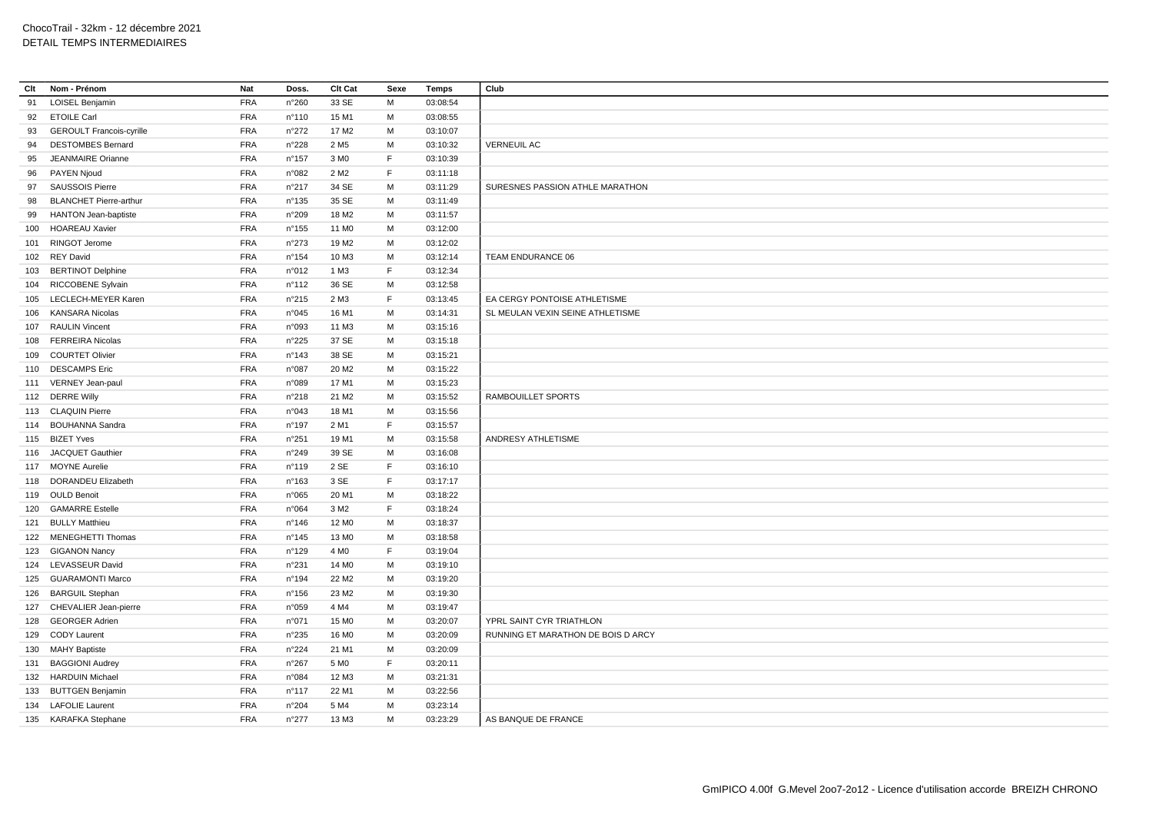| Clt | Nom - Prénom                    | Nat        | Doss.           | Clt Cat           | Sexe | <b>Temps</b> | Club                               |
|-----|---------------------------------|------------|-----------------|-------------------|------|--------------|------------------------------------|
| 91  | LOISEL Benjamin                 | <b>FRA</b> | n°260           | 33 SE             | M    | 03:08:54     |                                    |
| 92  | <b>ETOILE Carl</b>              | <b>FRA</b> | n°110           | 15 M1             | м    | 03:08:55     |                                    |
| 93  | <b>GEROULT Francois-cyrille</b> | <b>FRA</b> | n°272           | 17 M <sub>2</sub> | M    | 03:10:07     |                                    |
| 94  | <b>DESTOMBES Bernard</b>        | <b>FRA</b> | n°228           | 2 M <sub>5</sub>  | м    | 03:10:32     | <b>VERNEUIL AC</b>                 |
| 95  | JEANMAIRE Orianne               | <b>FRA</b> | $n^{\circ}$ 157 | 3 MO              | F    | 03:10:39     |                                    |
| 96  | PAYEN Njoud                     | <b>FRA</b> | n°082           | 2 M <sub>2</sub>  | F    | 03:11:18     |                                    |
| 97  | <b>SAUSSOIS Pierre</b>          | <b>FRA</b> | $n^{\circ}217$  | 34 SE             | M    | 03:11:29     | SURESNES PASSION ATHLE MARATHON    |
| 98  | <b>BLANCHET Pierre-arthur</b>   | <b>FRA</b> | n°135           | 35 SE             | M    | 03:11:49     |                                    |
| 99  | <b>HANTON Jean-baptiste</b>     | <b>FRA</b> | n°209           | 18 M <sub>2</sub> | M    | 03:11:57     |                                    |
| 100 | <b>HOAREAU Xavier</b>           | <b>FRA</b> | $n^{\circ}155$  | 11 M <sub>0</sub> | М    | 03:12:00     |                                    |
| 101 | RINGOT Jerome                   | <b>FRA</b> | n°273           | 19 M <sub>2</sub> | M    | 03:12:02     |                                    |
| 102 | <b>REY David</b>                | <b>FRA</b> | $n^{\circ}154$  | 10 M3             | м    | 03:12:14     | TEAM ENDURANCE 06                  |
| 103 | <b>BERTINOT Delphine</b>        | <b>FRA</b> | n°012           | 1 M3              | F.   | 03:12:34     |                                    |
| 104 | <b>RICCOBENE Sylvain</b>        | <b>FRA</b> | n°112           | 36 SE             | M    | 03:12:58     |                                    |
| 105 | LECLECH-MEYER Karen             | <b>FRA</b> | n°215           | 2 M3              | F.   | 03:13:45     | EA CERGY PONTOISE ATHLETISME       |
| 106 | <b>KANSARA Nicolas</b>          | <b>FRA</b> | n°045           | 16 M1             | M    | 03:14:31     | SL MEULAN VEXIN SEINE ATHLETISME   |
| 107 | <b>RAULIN Vincent</b>           | <b>FRA</b> | n°093           | 11 M3             | M    | 03:15:16     |                                    |
| 108 | <b>FERREIRA Nicolas</b>         | <b>FRA</b> | n°225           | 37 SE             | м    | 03:15:18     |                                    |
| 109 | <b>COURTET Olivier</b>          | <b>FRA</b> | n°143           | 38 SE             | M    | 03:15:21     |                                    |
|     | 110 DESCAMPS Eric               | <b>FRA</b> | n°087           | 20 M <sub>2</sub> | M    | 03:15:22     |                                    |
|     | 111 VERNEY Jean-paul            | <b>FRA</b> | n°089           | 17 M1             | M    | 03:15:23     |                                    |
|     | 112 DERRE Willy                 | <b>FRA</b> | n°218           | 21 M <sub>2</sub> | M    | 03:15:52     | RAMBOUILLET SPORTS                 |
|     | 113 CLAQUIN Pierre              | <b>FRA</b> | n°043           | 18 M1             | M    | 03:15:56     |                                    |
|     | 114 BOUHANNA Sandra             | <b>FRA</b> | $n^{\circ}$ 197 | 2 M1              | F    | 03:15:57     |                                    |
| 115 | <b>BIZET Yves</b>               | <b>FRA</b> | n°251           | 19 M1             | M    | 03:15:58     | ANDRESY ATHLETISME                 |
|     | 116 JACQUET Gauthier            | <b>FRA</b> | n°249           | 39 SE             | м    | 03:16:08     |                                    |
|     | 117 MOYNE Aurelie               | <b>FRA</b> | n°119           | 2 SE              | F    | 03:16:10     |                                    |
| 118 | <b>DORANDEU Elizabeth</b>       | <b>FRA</b> | n°163           | 3 SE              | F    | 03:17:17     |                                    |
|     | 119 OULD Benoit                 | <b>FRA</b> | n°065           | 20 M1             | M    | 03:18:22     |                                    |
| 120 | <b>GAMARRE Estelle</b>          | <b>FRA</b> | n°064           | 3 M <sub>2</sub>  | F    | 03:18:24     |                                    |
|     | 121 BULLY Matthieu              | <b>FRA</b> | $n^{\circ}$ 146 | 12 M <sub>0</sub> | M    | 03:18:37     |                                    |
|     | 122 MENEGHETTI Thomas           | <b>FRA</b> | $n^{\circ}$ 145 | 13 M <sub>0</sub> | M    | 03:18:58     |                                    |
| 123 | <b>GIGANON Nancy</b>            | <b>FRA</b> | n°129           | 4 M <sub>0</sub>  | F.   | 03:19:04     |                                    |
|     | 124 LEVASSEUR David             | <b>FRA</b> | n°231           | 14 M <sub>0</sub> | M    | 03:19:10     |                                    |
| 125 | <b>GUARAMONTI Marco</b>         | <b>FRA</b> | $n^{\circ}$ 194 | 22 M <sub>2</sub> | M    | 03:19:20     |                                    |
| 126 | <b>BARGUIL Stephan</b>          | <b>FRA</b> | $n^{\circ}$ 156 | 23 M <sub>2</sub> | M    | 03:19:30     |                                    |
| 127 | CHEVALIER Jean-pierre           | <b>FRA</b> | n°059           | 4 M4              | м    | 03:19:47     |                                    |
| 128 | <b>GEORGER Adrien</b>           | <b>FRA</b> | n°071           | 15 M <sub>0</sub> | M    | 03:20:07     | YPRL SAINT CYR TRIATHLON           |
| 129 | <b>CODY Laurent</b>             | <b>FRA</b> | n°235           | 16 M <sub>0</sub> | M    | 03:20:09     | RUNNING ET MARATHON DE BOIS D ARCY |
|     | 130 MAHY Baptiste               | <b>FRA</b> | n°224           | 21 M1             | м    | 03:20:09     |                                    |
| 131 | <b>BAGGIONI Audrey</b>          | <b>FRA</b> | $n^{\circ}267$  | 5 M <sub>0</sub>  | F.   | 03:20:11     |                                    |
| 132 | <b>HARDUIN Michael</b>          | <b>FRA</b> | n°084           | 12 M3             | M    | 03:21:31     |                                    |
| 133 | <b>BUTTGEN Benjamin</b>         | <b>FRA</b> | n°117           | 22 M1             | м    | 03:22:56     |                                    |
|     | 134 LAFOLIE Laurent             | <b>FRA</b> | $n^{\circ}204$  | 5 M4              | M    | 03:23:14     |                                    |
|     | 135 KARAFKA Stephane            | <b>FRA</b> | n°277           | 13 M3             | M    | 03:23:29     | AS BANQUE DE FRANCE                |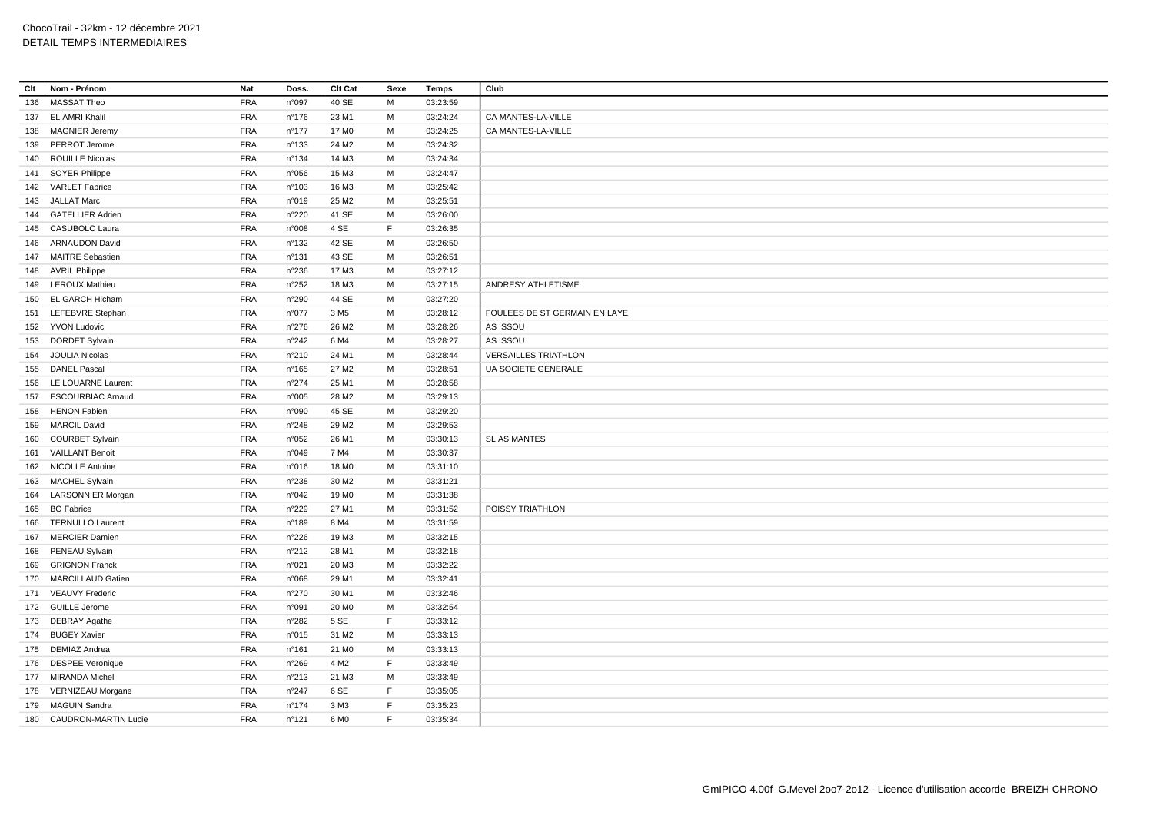| Clt | Nom - Prénom             | Nat        | Doss.           | Clt Cat           | Sexe        | <b>Temps</b> | Club                          |
|-----|--------------------------|------------|-----------------|-------------------|-------------|--------------|-------------------------------|
| 136 | <b>MASSAT Theo</b>       | <b>FRA</b> | n°097           | 40 SE             | М           | 03:23:59     |                               |
|     | 137 EL AMRI Khalil       | <b>FRA</b> | $n^{\circ}$ 176 | 23 M1             | M           | 03:24:24     | CA MANTES-LA-VILLE            |
|     | 138 MAGNIER Jeremy       | <b>FRA</b> | $n^{\circ}$ 177 | 17 M <sub>0</sub> | M           | 03:24:25     | CA MANTES-LA-VILLE            |
|     | 139 PERROT Jerome        | <b>FRA</b> | n°133           | 24 M <sub>2</sub> | M           | 03:24:32     |                               |
|     | 140 ROUILLE Nicolas      | <b>FRA</b> | n°134           | 14 M3             | M           | 03:24:34     |                               |
|     | 141 SOYER Philippe       | <b>FRA</b> | n°056           | 15 M3             | М           | 03:24:47     |                               |
|     | 142 VARLET Fabrice       | <b>FRA</b> | n°103           | 16 M3             | M           | 03:25:42     |                               |
|     | 143 JALLAT Marc          | <b>FRA</b> | n°019           | 25 M2             | М           | 03:25:51     |                               |
|     | 144 GATELLIER Adrien     | <b>FRA</b> | n°220           | 41 SE             | M           | 03:26:00     |                               |
|     | 145 CASUBOLO Laura       | <b>FRA</b> | n°008           | 4 SE              | F           | 03:26:35     |                               |
|     | 146 ARNAUDON David       | <b>FRA</b> | n°132           | 42 SE             | M           | 03:26:50     |                               |
|     | 147 MAITRE Sebastien     | FRA        | n°131           | 43 SE             | M           | 03:26:51     |                               |
|     | 148 AVRIL Philippe       | <b>FRA</b> | n°236           | 17 M3             | M           | 03:27:12     |                               |
|     | 149 LEROUX Mathieu       | FRA        | n°252           | 18 M3             | М           | 03:27:15     | ANDRESY ATHLETISME            |
|     | 150 EL GARCH Hicham      | <b>FRA</b> | n°290           | 44 SE             | M           | 03:27:20     |                               |
|     | 151 LEFEBVRE Stephan     | <b>FRA</b> | n°077           | 3 M <sub>5</sub>  | М           | 03:28:12     | FOULEES DE ST GERMAIN EN LAYE |
|     | 152 YVON Ludovic         | <b>FRA</b> | n°276           | 26 M <sub>2</sub> | M           | 03:28:26     | AS ISSOU                      |
|     | 153 DORDET Sylvain       | <b>FRA</b> | n°242           | 6 M4              | М           | 03:28:27     | AS ISSOU                      |
|     | 154 JOULIA Nicolas       | <b>FRA</b> | n°210           | 24 M1             | M           | 03:28:44     | <b>VERSAILLES TRIATHLON</b>   |
|     | 155 DANEL Pascal         | <b>FRA</b> | n°165           | 27 M2             | M           | 03:28:51     | UA SOCIETE GENERALE           |
|     | 156 LE LOUARNE Laurent   | <b>FRA</b> | n°274           | 25 M1             | M           | 03:28:58     |                               |
| 157 | <b>ESCOURBIAC Arnaud</b> | FRA        | n°005           | 28 M <sub>2</sub> | М           | 03:29:13     |                               |
|     | 158 HENON Fabien         | <b>FRA</b> | n°090           | 45 SE             | M           | 03:29:20     |                               |
|     | 159 MARCIL David         | <b>FRA</b> | n°248           | 29 M <sub>2</sub> | M           | 03:29:53     |                               |
|     | 160 COURBET Sylvain      | <b>FRA</b> | n°052           | 26 M1             | М           | 03:30:13     | SL AS MANTES                  |
|     | 161 VAILLANT Benoit      | FRA        | n°049           | 7 M4              | M           | 03:30:37     |                               |
|     | 162 NICOLLE Antoine      | <b>FRA</b> | n°016           | 18 M <sub>0</sub> | М           | 03:31:10     |                               |
|     | 163 MACHEL Sylvain       | <b>FRA</b> | n°238           | 30 M <sub>2</sub> | M           | 03:31:21     |                               |
|     | 164 LARSONNIER Morgan    | FRA        | n°042           | 19 M <sub>0</sub> | M           | 03:31:38     |                               |
| 165 | <b>BO</b> Fabrice        | <b>FRA</b> | n°229           | 27 M1             | М           | 03:31:52     | POISSY TRIATHLON              |
|     | 166 TERNULLO Laurent     | <b>FRA</b> | n°189           | 8 M4              | M           | 03:31:59     |                               |
|     | 167 MERCIER Damien       | <b>FRA</b> | n°226           | 19 M3             | M           | 03:32:15     |                               |
|     | 168 PENEAU Sylvain       | <b>FRA</b> | n°212           | 28 M1             | M           | 03:32:18     |                               |
|     | 169 GRIGNON Franck       | <b>FRA</b> | n°021           | 20 M3             | М           | 03:32:22     |                               |
|     | 170 MARCILLAUD Gatien    | <b>FRA</b> | n°068           | 29 M1             | М           | 03:32:41     |                               |
|     | 171 VEAUVY Frederic      | <b>FRA</b> | n°270           | 30 M1             | M           | 03:32:46     |                               |
|     | 172 GUILLE Jerome        | <b>FRA</b> | n°091           | 20 M <sub>0</sub> | M           | 03:32:54     |                               |
|     | 173 DEBRAY Agathe        | FRA        | n°282           | 5 SE              | F.          | 03:33:12     |                               |
|     | 174 BUGEY Xavier         | <b>FRA</b> | n°015           | 31 M2             | м           | 03:33:13     |                               |
|     | 175 DEMIAZ Andrea        | <b>FRA</b> | $n^{\circ}161$  | 21 M <sub>0</sub> | М           | 03:33:13     |                               |
|     | 176 DESPEE Veronique     | <b>FRA</b> | n°269           | 4 M <sub>2</sub>  | F           | 03:33:49     |                               |
|     | 177 MIRANDA Michel       | <b>FRA</b> | n°213           | 21 M3             | M           | 03:33:49     |                               |
|     | 178 VERNIZEAU Morgane    | <b>FRA</b> | n°247           | 6 SE              | F           | 03:35:05     |                               |
|     | 179 MAGUIN Sandra        | <b>FRA</b> | $n^{\circ}$ 174 | 3 M3              | $\mathsf F$ | 03:35:23     |                               |
|     | 180 CAUDRON-MARTIN Lucie | <b>FRA</b> | n°121           | 6 M <sub>0</sub>  | F.          | 03:35:34     |                               |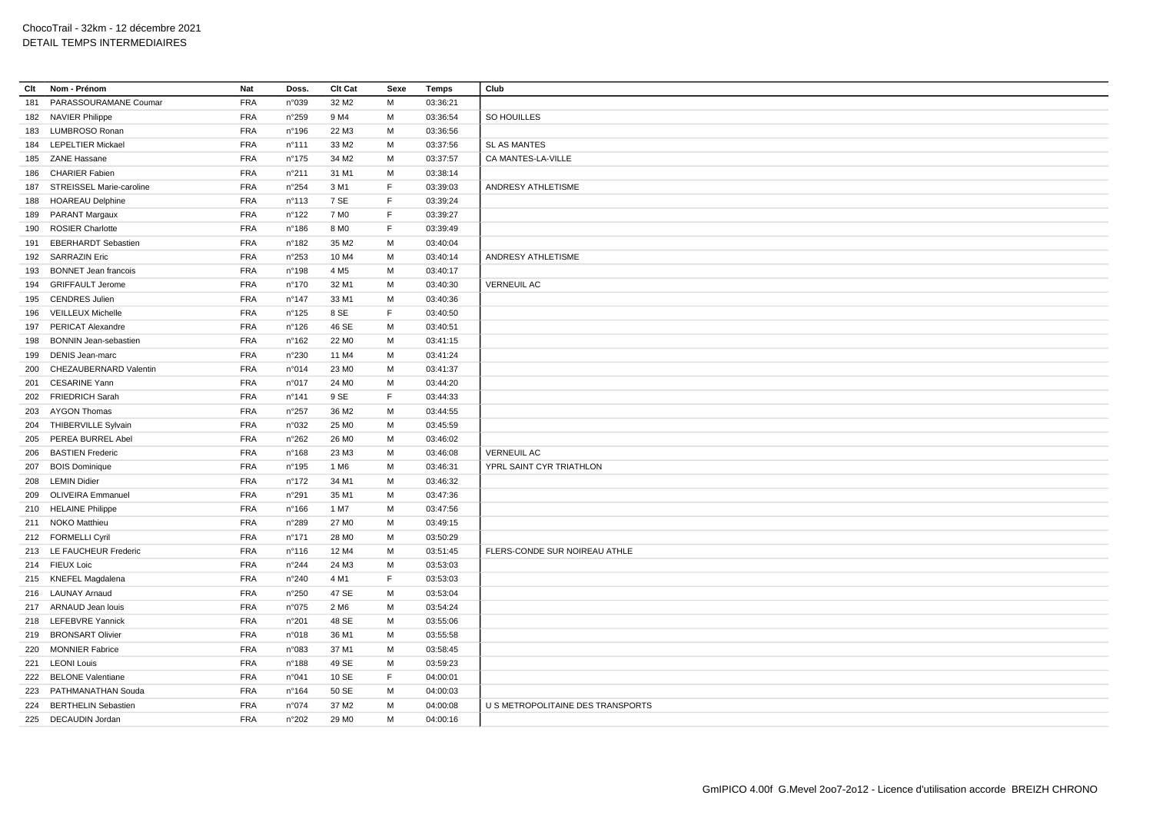| Clt | Nom - Prénom                                 | Nat        | Doss.           | Clt Cat           | Sexe | <b>Temps</b> | Club                              |
|-----|----------------------------------------------|------------|-----------------|-------------------|------|--------------|-----------------------------------|
| 181 | PARASSOURAMANE Coumar                        | <b>FRA</b> | n°039           | 32 M <sub>2</sub> | M    | 03:36:21     |                                   |
|     | 182 NAVIER Philippe                          | <b>FRA</b> | n°259           | 9 M4              | M    | 03:36:54     | SO HOUILLES                       |
| 183 | LUMBROSO Ronan                               | <b>FRA</b> | n°196           | 22 M3             | M    | 03:36:56     |                                   |
|     | 184 LEPELTIER Mickael                        | <b>FRA</b> | $n^{\circ}$ 111 | 33 M2             | м    | 03:37:56     | <b>SL AS MANTES</b>               |
|     | 185 ZANE Hassane                             | <b>FRA</b> | $n^{\circ}$ 175 | 34 M2             | м    | 03:37:57     | CA MANTES-LA-VILLE                |
| 186 | <b>CHARIER Fabien</b>                        | <b>FRA</b> | n°211           | 31 M1             | M    | 03:38:14     |                                   |
| 187 | STREISSEL Marie-caroline                     | <b>FRA</b> | n°254           | 3 M1              | F    | 03:39:03     | ANDRESY ATHLETISME                |
| 188 | <b>HOAREAU Delphine</b>                      | <b>FRA</b> | n°113           | 7 SE              | F    | 03:39:24     |                                   |
|     | 189 PARANT Margaux                           | <b>FRA</b> | n°122           | 7 M <sub>0</sub>  | F.   | 03:39:27     |                                   |
| 190 | <b>ROSIER Charlotte</b>                      | <b>FRA</b> | n°186           | 8 M <sub>0</sub>  | F.   | 03:39:49     |                                   |
| 191 | <b>EBERHARDT Sebastien</b>                   | <b>FRA</b> | n°182           | 35 M2             | M    | 03:40:04     |                                   |
|     | 192 SARRAZIN Eric                            | <b>FRA</b> | n°253           | 10 M4             | M    | 03:40:14     | ANDRESY ATHLETISME                |
| 193 | <b>BONNET Jean francois</b>                  | <b>FRA</b> | n°198           | 4 M <sub>5</sub>  | м    | 03:40:17     |                                   |
|     | 194 GRIFFAULT Jerome                         | <b>FRA</b> | n°170           | 32 M1             | M    | 03:40:30     | <b>VERNEUIL AC</b>                |
|     | 195 CENDRES Julien                           | <b>FRA</b> | $n^{\circ}$ 147 | 33 M1             | M    | 03:40:36     |                                   |
|     | 196 VEILLEUX Michelle                        | <b>FRA</b> | n°125           | 8 SE              | F    | 03:40:50     |                                   |
| 197 | <b>PERICAT Alexandre</b>                     | <b>FRA</b> | n°126           | 46 SE             | M    | 03:40:51     |                                   |
| 198 | <b>BONNIN Jean-sebastien</b>                 | <b>FRA</b> | $n^{\circ}$ 162 | 22 M <sub>0</sub> | м    | 03:41:15     |                                   |
| 199 | <b>DENIS Jean-marc</b>                       | <b>FRA</b> | n°230           | 11 M4             | M    | 03:41:24     |                                   |
| 200 | CHEZAUBERNARD Valentin                       | <b>FRA</b> | n°014           | 23 M <sub>0</sub> | M    | 03:41:37     |                                   |
| 201 | <b>CESARINE Yann</b>                         | <b>FRA</b> | n°017           | 24 M <sub>0</sub> | M    | 03:44:20     |                                   |
|     | 202 FRIEDRICH Sarah                          | <b>FRA</b> | $n^{\circ}$ 141 | 9 SE              | F    | 03:44:33     |                                   |
|     | 203 AYGON Thomas                             | <b>FRA</b> | n°257           | 36 M <sub>2</sub> | M    | 03:44:55     |                                   |
|     |                                              | <b>FRA</b> | n°032           | 25 M <sub>0</sub> | M    |              |                                   |
|     | 204 THIBERVILLE Sylvain<br>PEREA BURREL Abel | <b>FRA</b> |                 |                   | M    | 03:45:59     |                                   |
| 205 |                                              | <b>FRA</b> | n°262           | 26 M <sub>0</sub> |      | 03:46:02     |                                   |
| 206 | <b>BASTIEN Frederic</b>                      |            | $n^{\circ}168$  | 23 M3             | м    | 03:46:08     | <b>VERNEUIL AC</b>                |
| 207 | <b>BOIS Dominique</b>                        | <b>FRA</b> | n°195           | 1 M6              | M    | 03:46:31     | YPRL SAINT CYR TRIATHLON          |
|     | 208 LEMIN Didier                             | <b>FRA</b> | $n^{\circ}172$  | 34 M1             | M    | 03:46:32     |                                   |
| 209 | <b>OLIVEIRA Emmanuel</b>                     | <b>FRA</b> | n°291           | 35 M1             | м    | 03:47:36     |                                   |
|     | 210 HELAINE Philippe                         | <b>FRA</b> | n°166           | 1 M7              | M    | 03:47:56     |                                   |
|     | 211 NOKO Matthieu                            | <b>FRA</b> | n°289           | 27 M <sub>0</sub> | M    | 03:49:15     |                                   |
|     | 212 FORMELLI Cyril                           | <b>FRA</b> | $n^{\circ}$ 171 | 28 M <sub>0</sub> | M    | 03:50:29     |                                   |
|     | 213 LE FAUCHEUR Frederic                     | <b>FRA</b> | $n^{\circ}$ 116 | 12 M4             | M    | 03:51:45     | FLERS-CONDE SUR NOIREAU ATHLE     |
|     | 214 FIEUX Loic                               | <b>FRA</b> | n°244           | 24 M3             | M    | 03:53:03     |                                   |
|     | 215 KNEFEL Magdalena                         | <b>FRA</b> | n°240           | 4 M1              | F.   | 03:53:03     |                                   |
|     | 216 LAUNAY Arnaud                            | <b>FRA</b> | n°250           | 47 SE             | M    | 03:53:04     |                                   |
|     | 217 ARNAUD Jean louis                        | <b>FRA</b> | n°075           | 2 M <sub>6</sub>  | M    | 03:54:24     |                                   |
|     | 218 LEFEBVRE Yannick                         | <b>FRA</b> | n°201           | 48 SE             | м    | 03:55:06     |                                   |
|     | 219 BRONSART Olivier                         | <b>FRA</b> | n°018           | 36 M1             | M    | 03:55:58     |                                   |
| 220 | <b>MONNIER Fabrice</b>                       | <b>FRA</b> | n°083           | 37 M1             | M    | 03:58:45     |                                   |
|     | 221 LEONI Louis                              | <b>FRA</b> | $n^{\circ}$ 188 | 49 SE             | M    | 03:59:23     |                                   |
|     | 222 BELONE Valentiane                        | <b>FRA</b> | n°041           | 10 SE             | F.   | 04:00:01     |                                   |
| 223 | PATHMANATHAN Souda                           | <b>FRA</b> | $n^{\circ}164$  | 50 SE             | м    | 04:00:03     |                                   |
|     | 224 BERTHELIN Sebastien                      | <b>FRA</b> | n°074           | 37 M2             | M    | 04:00:08     | U S METROPOLITAINE DES TRANSPORTS |
|     | 225 DECAUDIN Jordan                          | <b>FRA</b> | n°202           | 29 M <sub>0</sub> | M    | 04:00:16     |                                   |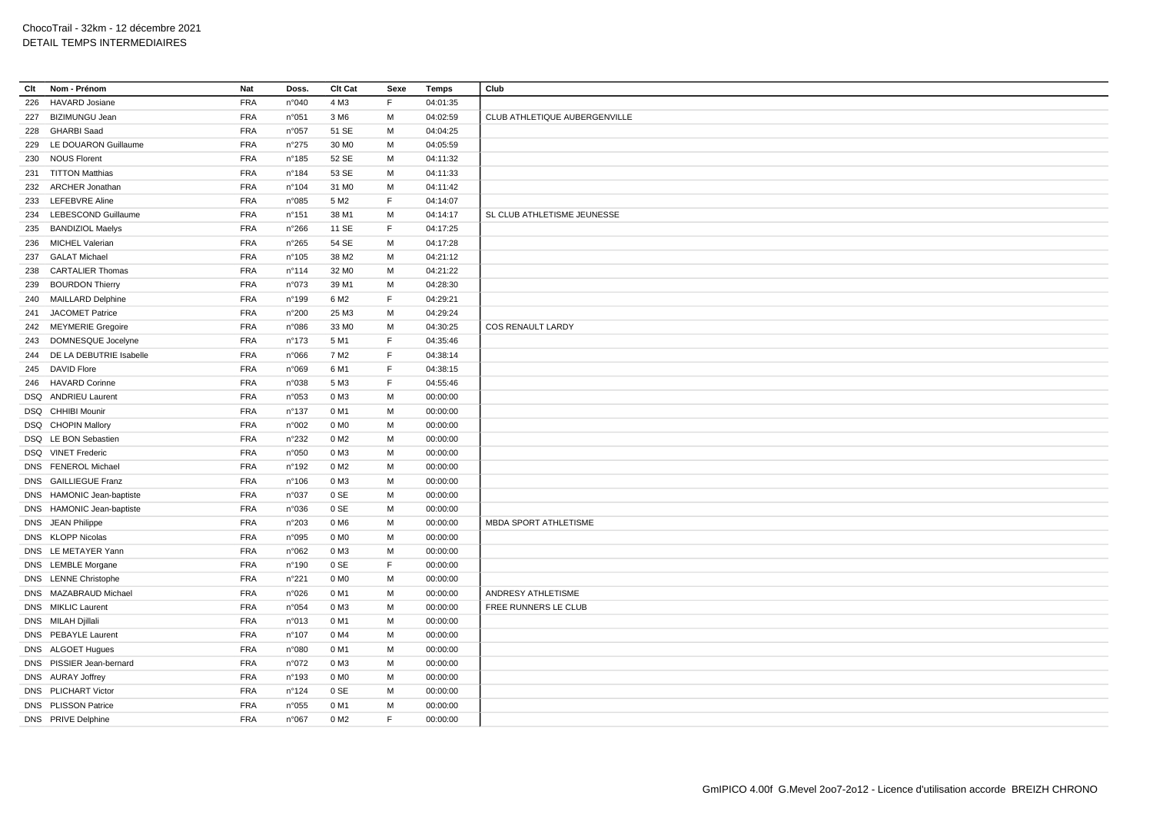| Clt | Nom - Prénom                | Nat        | Doss.           | Clt Cat           | Sexe | Temps    | Club                          |
|-----|-----------------------------|------------|-----------------|-------------------|------|----------|-------------------------------|
| 226 | <b>HAVARD Josiane</b>       | <b>FRA</b> | n°040           | 4 M3              | F    | 04:01:35 |                               |
|     | 227 BIZIMUNGU Jean          | <b>FRA</b> | n°051           | 3 M6              | М    | 04:02:59 | CLUB ATHLETIQUE AUBERGENVILLE |
|     | 228 GHARBI Saad             | <b>FRA</b> | n°057           | 51 SE             | M    | 04:04:25 |                               |
|     | 229 LE DOUARON Guillaume    | <b>FRA</b> | n°275           | 30 MO             | M    | 04:05:59 |                               |
|     | 230 NOUS Florent            | <b>FRA</b> | $n^{\circ}$ 185 | 52 SE             | M    | 04:11:32 |                               |
|     | 231 TITTON Matthias         | <b>FRA</b> | n°184           | 53 SE             | M    | 04:11:33 |                               |
|     | 232 ARCHER Jonathan         | <b>FRA</b> | $n^{\circ}104$  | 31 M <sub>0</sub> | М    | 04:11:42 |                               |
|     | 233 LEFEBVRE Aline          | <b>FRA</b> | n°085           | 5 M <sub>2</sub>  | F.   | 04:14:07 |                               |
|     | 234 LEBESCOND Guillaume     | <b>FRA</b> | n°151           | 38 M1             | М    | 04:14:17 | SL CLUB ATHLETISME JEUNESSE   |
|     | 235 BANDIZIOL Maelys        | <b>FRA</b> | n°266           | 11 SE             | F    | 04:17:25 |                               |
|     | 236 MICHEL Valerian         | <b>FRA</b> | n°265           | 54 SE             | M    | 04:17:28 |                               |
|     | 237 GALAT Michael           | <b>FRA</b> | n°105           | 38 M2             | М    | 04:21:12 |                               |
|     | 238 CARTALIER Thomas        | <b>FRA</b> | n°114           | 32 MO             | M    | 04:21:22 |                               |
|     | 239 BOURDON Thierry         | <b>FRA</b> | n°073           | 39 M1             | М    | 04:28:30 |                               |
|     | 240 MAILLARD Delphine       | <b>FRA</b> | n°199           | 6 M <sub>2</sub>  | F    | 04:29:21 |                               |
| 241 | <b>JACOMET Patrice</b>      | <b>FRA</b> | n°200           | 25 M3             | M    | 04:29:24 |                               |
|     | 242 MEYMERIE Gregoire       | <b>FRA</b> | n°086           | 33 MO             | M    | 04:30:25 | <b>COS RENAULT LARDY</b>      |
|     | 243 DOMNESQUE Jocelyne      | <b>FRA</b> | n°173           | 5 M1              | F    | 04:35:46 |                               |
|     | 244 DE LA DEBUTRIE Isabelle | <b>FRA</b> | n°066           | 7 M2              | F    | 04:38:14 |                               |
|     | 245 DAVID Flore             | <b>FRA</b> | n°069           | 6 M1              | F    | 04:38:15 |                               |
|     | 246 HAVARD Corinne          | <b>FRA</b> | n°038           | 5 M3              | F    | 04:55:46 |                               |
|     | DSQ ANDRIEU Laurent         | <b>FRA</b> | n°053           | 0 M3              | М    | 00:00:00 |                               |
|     | DSQ CHHIBI Mounir           | <b>FRA</b> | $n^{\circ}$ 137 | 0 M1              | M    | 00:00:00 |                               |
|     | DSQ CHOPIN Mallory          | <b>FRA</b> | n°002           | 0 M <sub>0</sub>  | M    | 00:00:00 |                               |
|     | DSQ LE BON Sebastien        | <b>FRA</b> | n°232           | 0 M2              | М    | 00:00:00 |                               |
|     | DSQ VINET Frederic          | <b>FRA</b> | n°050           | 0 M3              | M    | 00:00:00 |                               |
|     | DNS FENEROL Michael         | <b>FRA</b> | n°192           | 0 M <sub>2</sub>  | M    | 00:00:00 |                               |
|     | DNS GAILLIEGUE Franz        | <b>FRA</b> | n°106           | 0 M3              | М    | 00:00:00 |                               |
|     | DNS HAMONIC Jean-baptiste   | <b>FRA</b> | n°037           | 0 SE              | М    | 00:00:00 |                               |
|     | DNS HAMONIC Jean-baptiste   | <b>FRA</b> | n°036           | 0 SE              | M    | 00:00:00 |                               |
|     | DNS JEAN Philippe           | <b>FRA</b> | n°203           | 0 M <sub>6</sub>  | М    | 00:00:00 | MBDA SPORT ATHLETISME         |
|     | DNS KLOPP Nicolas           | <b>FRA</b> | n°095           | 0 M <sub>0</sub>  | M    | 00:00:00 |                               |
|     | DNS LE METAYER Yann         | <b>FRA</b> | n°062           | 0 M3              | М    | 00:00:00 |                               |
|     | DNS LEMBLE Morgane          | <b>FRA</b> | n°190           | 0 SE              | F.   | 00:00:00 |                               |
|     | DNS LENNE Christophe        | <b>FRA</b> | n°221           | 0 M <sub>0</sub>  | М    | 00:00:00 |                               |
|     | DNS MAZABRAUD Michael       | <b>FRA</b> | n°026           | 0 M1              | M    | 00:00:00 | ANDRESY ATHLETISME            |
|     | DNS MIKLIC Laurent          | <b>FRA</b> | n°054           | 0 M3              | M    | 00:00:00 | FREE RUNNERS LE CLUB          |
|     | DNS MILAH Djillali          | <b>FRA</b> | n°013           | 0 M1              | M    | 00:00:00 |                               |
|     | DNS PEBAYLE Laurent         | <b>FRA</b> | n°107           | 0 M4              | M    | 00:00:00 |                               |
|     | DNS ALGOET Hugues           | <b>FRA</b> | n°080           | 0 M1              | М    | 00:00:00 |                               |
|     | DNS PISSIER Jean-bernard    | <b>FRA</b> | n°072           | 0 M3              | M    | 00:00:00 |                               |
|     | DNS AURAY Joffrey           | <b>FRA</b> | n°193           | 0 M <sub>0</sub>  | М    | 00:00:00 |                               |
|     | DNS PLICHART Victor         | <b>FRA</b> | n°124           | 0 SE              | M    | 00:00:00 |                               |
|     | DNS PLISSON Patrice         | <b>FRA</b> | n°055           | 0 M1              | М    | 00:00:00 |                               |
|     | DNS PRIVE Delphine          | <b>FRA</b> | n°067           | 0 M <sub>2</sub>  | F    | 00:00:00 |                               |